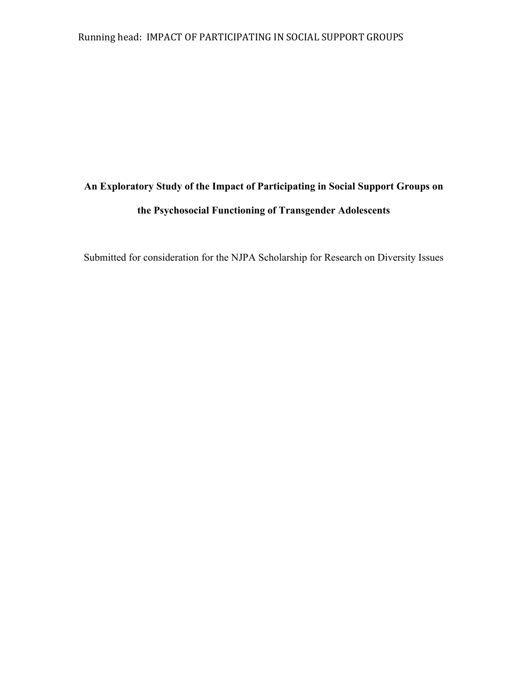## Running head: IMPACT OF PARTICIPATING IN SOCIAL SUPPORT GROUPS

## **An Exploratory Study of the Impact of Participating in Social Support Groups on the Psychosocial Functioning of Transgender Adolescents**

Submitted for consideration for the NJPA Scholarship for Research on Diversity Issues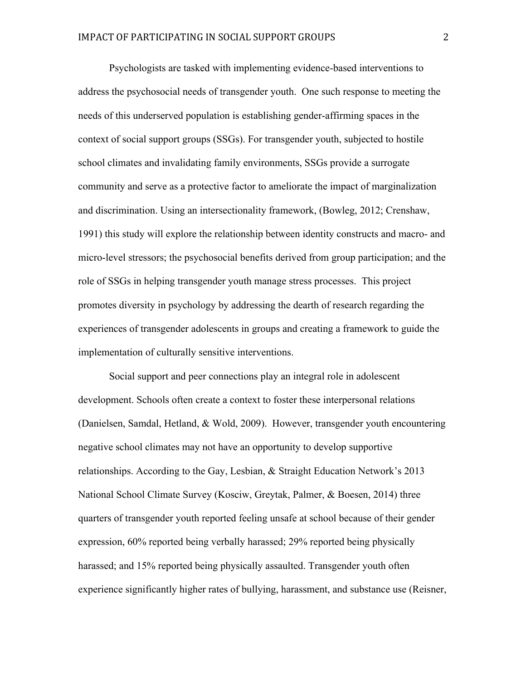Psychologists are tasked with implementing evidence-based interventions to address the psychosocial needs of transgender youth. One such response to meeting the needs of this underserved population is establishing gender-affirming spaces in the context of social support groups (SSGs). For transgender youth, subjected to hostile school climates and invalidating family environments, SSGs provide a surrogate community and serve as a protective factor to ameliorate the impact of marginalization and discrimination. Using an intersectionality framework, (Bowleg, 2012; Crenshaw, 1991) this study will explore the relationship between identity constructs and macro- and micro-level stressors; the psychosocial benefits derived from group participation; and the role of SSGs in helping transgender youth manage stress processes. This project promotes diversity in psychology by addressing the dearth of research regarding the experiences of transgender adolescents in groups and creating a framework to guide the implementation of culturally sensitive interventions.

Social support and peer connections play an integral role in adolescent development. Schools often create a context to foster these interpersonal relations (Danielsen, Samdal, Hetland, & Wold, 2009). However, transgender youth encountering negative school climates may not have an opportunity to develop supportive relationships. According to the Gay, Lesbian, & Straight Education Network's 2013 National School Climate Survey (Kosciw, Greytak, Palmer, & Boesen, 2014) three quarters of transgender youth reported feeling unsafe at school because of their gender expression, 60% reported being verbally harassed; 29% reported being physically harassed; and 15% reported being physically assaulted. Transgender youth often experience significantly higher rates of bullying, harassment, and substance use (Reisner,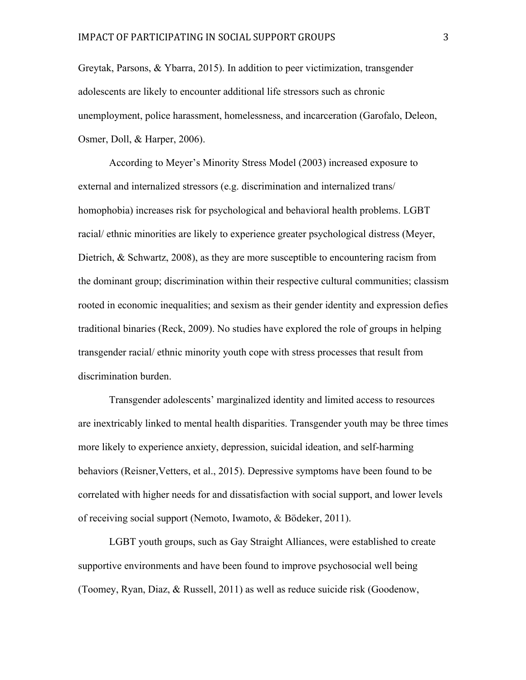Greytak, Parsons, & Ybarra, 2015). In addition to peer victimization, transgender adolescents are likely to encounter additional life stressors such as chronic unemployment, police harassment, homelessness, and incarceration (Garofalo, Deleon, Osmer, Doll, & Harper, 2006).

According to Meyer's Minority Stress Model (2003) increased exposure to external and internalized stressors (e.g. discrimination and internalized trans/ homophobia) increases risk for psychological and behavioral health problems. LGBT racial/ ethnic minorities are likely to experience greater psychological distress (Meyer, Dietrich, & Schwartz, 2008), as they are more susceptible to encountering racism from the dominant group; discrimination within their respective cultural communities; classism rooted in economic inequalities; and sexism as their gender identity and expression defies traditional binaries (Reck, 2009). No studies have explored the role of groups in helping transgender racial/ ethnic minority youth cope with stress processes that result from discrimination burden.

Transgender adolescents' marginalized identity and limited access to resources are inextricably linked to mental health disparities. Transgender youth may be three times more likely to experience anxiety, depression, suicidal ideation, and self-harming behaviors (Reisner,Vetters, et al., 2015). Depressive symptoms have been found to be correlated with higher needs for and dissatisfaction with social support, and lower levels of receiving social support (Nemoto, Iwamoto, & Bödeker, 2011).

LGBT youth groups, such as Gay Straight Alliances, were established to create supportive environments and have been found to improve psychosocial well being (Toomey, Ryan, Diaz, & Russell, 2011) as well as reduce suicide risk (Goodenow,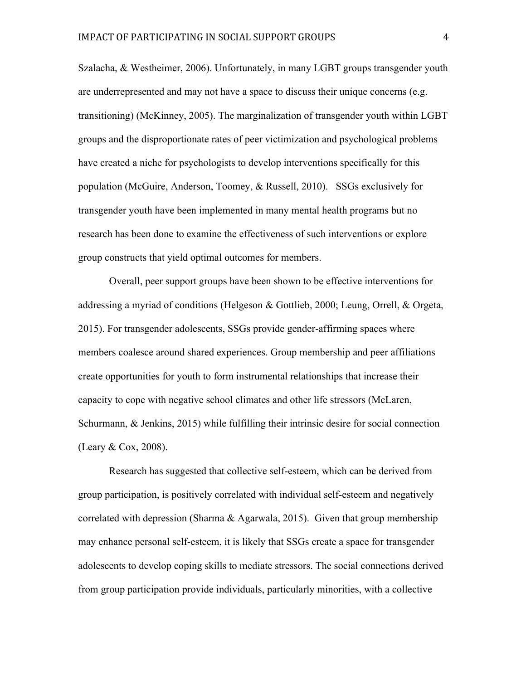Szalacha, & Westheimer, 2006). Unfortunately, in many LGBT groups transgender youth are underrepresented and may not have a space to discuss their unique concerns (e.g. transitioning) (McKinney, 2005). The marginalization of transgender youth within LGBT groups and the disproportionate rates of peer victimization and psychological problems have created a niche for psychologists to develop interventions specifically for this population (McGuire, Anderson, Toomey, & Russell, 2010). SSGs exclusively for transgender youth have been implemented in many mental health programs but no research has been done to examine the effectiveness of such interventions or explore group constructs that yield optimal outcomes for members.

Overall, peer support groups have been shown to be effective interventions for addressing a myriad of conditions (Helgeson & Gottlieb, 2000; Leung, Orrell, & Orgeta, 2015). For transgender adolescents, SSGs provide gender-affirming spaces where members coalesce around shared experiences. Group membership and peer affiliations create opportunities for youth to form instrumental relationships that increase their capacity to cope with negative school climates and other life stressors (McLaren, Schurmann, & Jenkins, 2015) while fulfilling their intrinsic desire for social connection (Leary & Cox, 2008).

Research has suggested that collective self-esteem, which can be derived from group participation, is positively correlated with individual self-esteem and negatively correlated with depression (Sharma & Agarwala, 2015). Given that group membership may enhance personal self-esteem, it is likely that SSGs create a space for transgender adolescents to develop coping skills to mediate stressors. The social connections derived from group participation provide individuals, particularly minorities, with a collective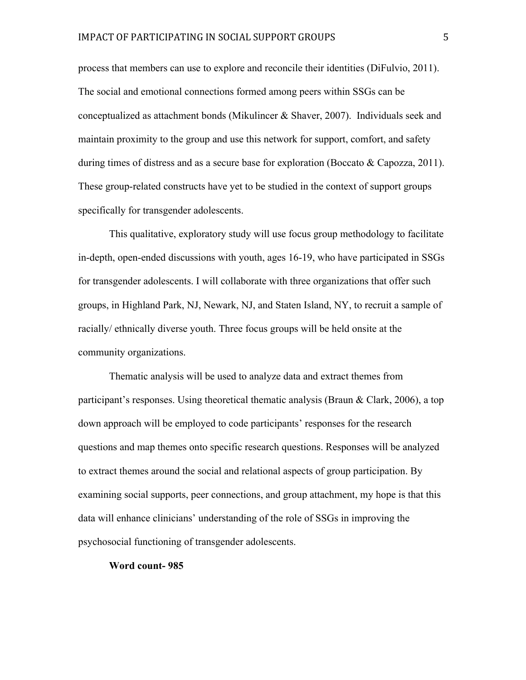process that members can use to explore and reconcile their identities (DiFulvio, 2011). The social and emotional connections formed among peers within SSGs can be conceptualized as attachment bonds (Mikulincer & Shaver, 2007). Individuals seek and maintain proximity to the group and use this network for support, comfort, and safety during times of distress and as a secure base for exploration (Boccato  $\&$  Capozza, 2011). These group-related constructs have yet to be studied in the context of support groups specifically for transgender adolescents.

This qualitative, exploratory study will use focus group methodology to facilitate in-depth, open-ended discussions with youth, ages 16-19, who have participated in SSGs for transgender adolescents. I will collaborate with three organizations that offer such groups, in Highland Park, NJ, Newark, NJ, and Staten Island, NY, to recruit a sample of racially/ ethnically diverse youth. Three focus groups will be held onsite at the community organizations.

Thematic analysis will be used to analyze data and extract themes from participant's responses. Using theoretical thematic analysis (Braun & Clark, 2006), a top down approach will be employed to code participants' responses for the research questions and map themes onto specific research questions. Responses will be analyzed to extract themes around the social and relational aspects of group participation. By examining social supports, peer connections, and group attachment, my hope is that this data will enhance clinicians' understanding of the role of SSGs in improving the psychosocial functioning of transgender adolescents.

## **Word count- 985**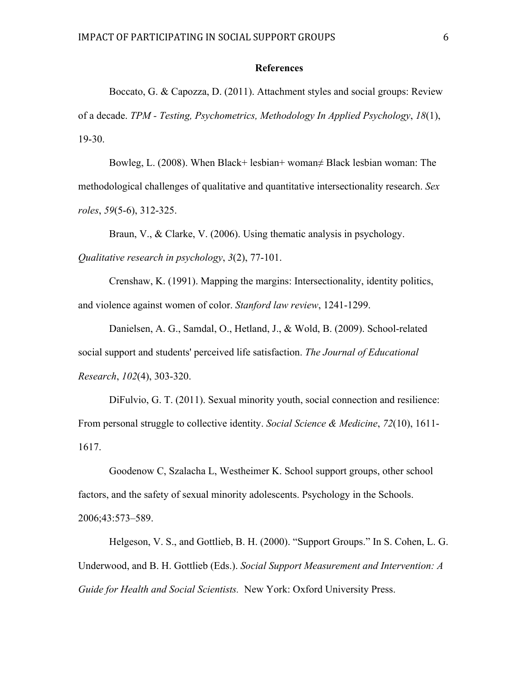## **References**

Boccato, G. & Capozza, D. (2011). Attachment styles and social groups: Review of a decade. *TPM - Testing, Psychometrics, Methodology In Applied Psychology*, *18*(1), 19-30.

Bowleg, L. (2008). When Black+ lesbian+ woman≠ Black lesbian woman: The methodological challenges of qualitative and quantitative intersectionality research. *Sex roles*, *59*(5-6), 312-325.

Braun, V., & Clarke, V. (2006). Using thematic analysis in psychology. *Qualitative research in psychology*, *3*(2), 77-101.

Crenshaw, K. (1991). Mapping the margins: Intersectionality, identity politics, and violence against women of color. *Stanford law review*, 1241-1299.

Danielsen, A. G., Samdal, O., Hetland, J., & Wold, B. (2009). School-related social support and students' perceived life satisfaction. *The Journal of Educational Research*, *102*(4), 303-320.

DiFulvio, G. T. (2011). Sexual minority youth, social connection and resilience: From personal struggle to collective identity. *Social Science & Medicine*, *72*(10), 1611- 1617.

Goodenow C, Szalacha L, Westheimer K. School support groups, other school factors, and the safety of sexual minority adolescents. Psychology in the Schools. 2006;43:573–589.

Helgeson, V. S., and Gottlieb, B. H. (2000). "Support Groups." In S. Cohen, L. G. Underwood, and B. H. Gottlieb (Eds.). *Social Support Measurement and Intervention: A Guide for Health and Social Scientists.* New York: Oxford University Press.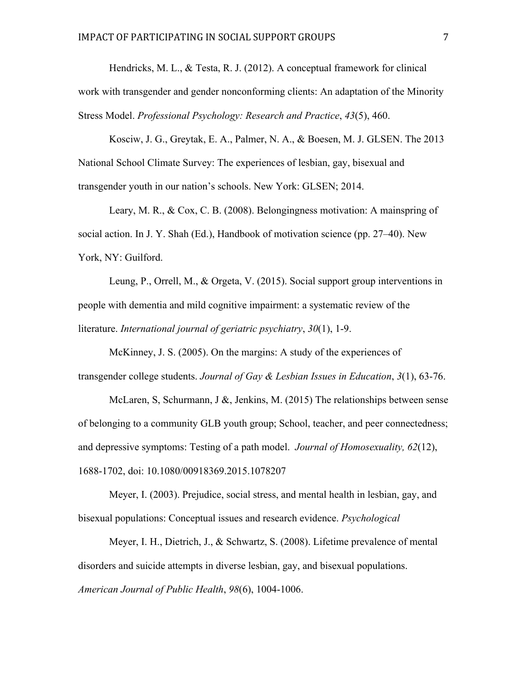Hendricks, M. L., & Testa, R. J. (2012). A conceptual framework for clinical work with transgender and gender nonconforming clients: An adaptation of the Minority Stress Model. *Professional Psychology: Research and Practice*, *43*(5), 460.

Kosciw, J. G., Greytak, E. A., Palmer, N. A., & Boesen, M. J. GLSEN. The 2013 National School Climate Survey: The experiences of lesbian, gay, bisexual and transgender youth in our nation's schools. New York: GLSEN; 2014.

Leary, M. R., & Cox, C. B. (2008). Belongingness motivation: A mainspring of social action. In J. Y. Shah (Ed.), Handbook of motivation science (pp. 27–40). New York, NY: Guilford.

Leung, P., Orrell, M., & Orgeta, V. (2015). Social support group interventions in people with dementia and mild cognitive impairment: a systematic review of the literature. *International journal of geriatric psychiatry*, *30*(1), 1-9.

McKinney, J. S. (2005). On the margins: A study of the experiences of transgender college students. *Journal of Gay & Lesbian Issues in Education*, *3*(1), 63-76.

McLaren, S, Schurmann, J &, Jenkins, M. (2015) The relationships between sense of belonging to a community GLB youth group; School, teacher, and peer connectedness; and depressive symptoms: Testing of a path model. *Journal of Homosexuality, 62*(12), 1688-1702, doi: 10.1080/00918369.2015.1078207

Meyer, I. (2003). Prejudice, social stress, and mental health in lesbian, gay, and bisexual populations: Conceptual issues and research evidence. *Psychological* 

Meyer, I. H., Dietrich, J., & Schwartz, S. (2008). Lifetime prevalence of mental disorders and suicide attempts in diverse lesbian, gay, and bisexual populations. *American Journal of Public Health*, *98*(6), 1004-1006.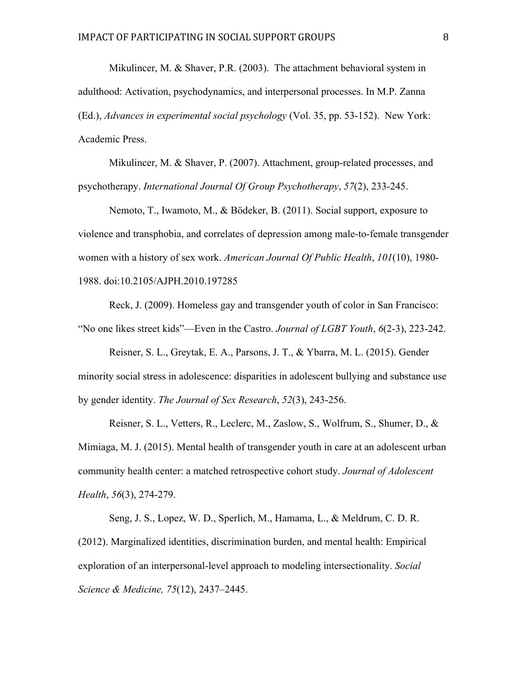Mikulincer, M. & Shaver, P.R. (2003). The attachment behavioral system in adulthood: Activation, psychodynamics, and interpersonal processes. In M.P. Zanna (Ed.), *Advances in experimental social psychology* (Vol. 35, pp. 53-152). New York: Academic Press.

Mikulincer, M. & Shaver, P. (2007). Attachment, group-related processes, and psychotherapy. *International Journal Of Group Psychotherapy*, *57*(2), 233-245.

Nemoto, T., Iwamoto, M., & Bödeker, B. (2011). Social support, exposure to violence and transphobia, and correlates of depression among male-to-female transgender women with a history of sex work. *American Journal Of Public Health*, *101*(10), 1980- 1988. doi:10.2105/AJPH.2010.197285

Reck, J. (2009). Homeless gay and transgender youth of color in San Francisco: "No one likes street kids"—Even in the Castro. *Journal of LGBT Youth*, *6*(2-3), 223-242.

Reisner, S. L., Greytak, E. A., Parsons, J. T., & Ybarra, M. L. (2015). Gender minority social stress in adolescence: disparities in adolescent bullying and substance use by gender identity. *The Journal of Sex Research*, *52*(3), 243-256.

Reisner, S. L., Vetters, R., Leclerc, M., Zaslow, S., Wolfrum, S., Shumer, D., & Mimiaga, M. J. (2015). Mental health of transgender youth in care at an adolescent urban community health center: a matched retrospective cohort study. *Journal of Adolescent Health*, *56*(3), 274-279.

Seng, J. S., Lopez, W. D., Sperlich, M., Hamama, L., & Meldrum, C. D. R. (2012). Marginalized identities, discrimination burden, and mental health: Empirical exploration of an interpersonal-level approach to modeling intersectionality. *Social Science & Medicine, 75*(12), 2437–2445.